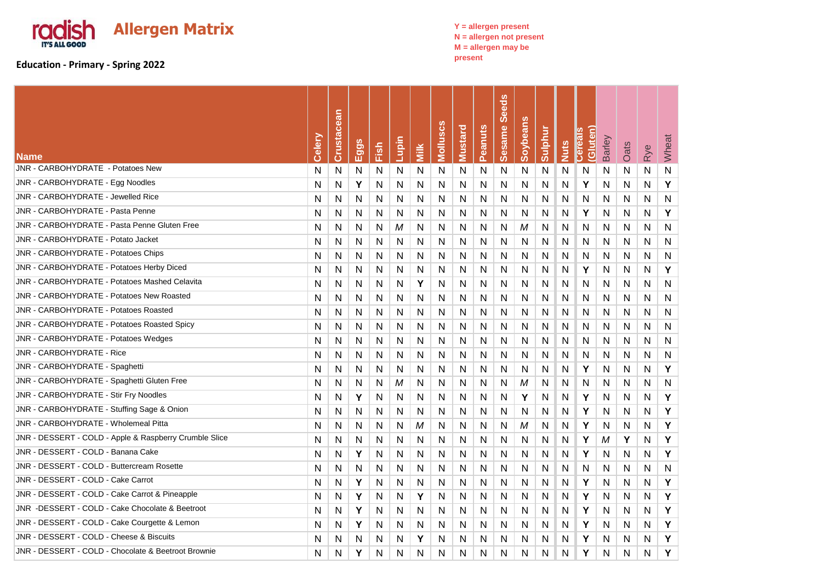

## **Education - Primary - Spring 2022**

**Y = allergen present N = allergen not present M = allergen may be present**

| <b>Name</b>                                            | ery<br>ۊ | cean<br>Crusta | Eggs | Fish | Lupin | Milk         | Molluscs | <b>Mustard</b> | eanuts<br>ñ. | <b>SO</b><br>Seed<br><b>Sesame</b> | <b>Soybeans</b> | Sulphur      | <b>Nuts</b>  | Gluten)<br><b>Cereals</b> | Barley | Oats | Rye          | Wheat        |
|--------------------------------------------------------|----------|----------------|------|------|-------|--------------|----------|----------------|--------------|------------------------------------|-----------------|--------------|--------------|---------------------------|--------|------|--------------|--------------|
| JNR - CARBOHYDRATE - Potatoes New                      | N        | N              | N    | N    | N     | N            | N        | N              | N            | N                                  | N               | N            | N            | N                         | N      | N    | N            | $\mathsf{N}$ |
| JNR - CARBOHYDRATE - Egg Noodles                       | N        | N              | Υ    | N    | N     | $\mathsf{N}$ | N        | N              | N            | N                                  | N               | N            | $\mathsf{N}$ | Y                         | N      | N    | N            | Y            |
| JNR - CARBOHYDRATE - Jewelled Rice                     | N        | N              | Ν    | Ν    | N     | N            | N        | N              | N            | N                                  | N               | N            | N            | N                         | Ν      | N    | N            | N            |
| JNR - CARBOHYDRATE - Pasta Penne                       | N        | N              | N    | N    | N     | N            | N        | N              | N            | N                                  | N               | N            | N            | Y                         | N      | N    | N            | Y            |
| JNR - CARBOHYDRATE - Pasta Penne Gluten Free           | N        | N              | N    | N    | M     | N            | N        | N              | N            | N                                  | М               | N            | N            | N                         | N      | N    | N            | N            |
| <b>JNR - CARBOHYDRATE - Potato Jacket</b>              | N        | N              | Ν    | N    | N     | N            | N        | N              | $\mathsf{N}$ | $\mathsf{N}$                       | N               | $\mathsf{N}$ | ${\sf N}$    | N                         | N      | N    | N            | N            |
| JNR - CARBOHYDRATE - Potatoes Chips                    | N        | N              | N    | Ν    | N     | N            | N        | N              | N            | N                                  | N               | N            | N            | N                         | N      | N    | $\mathsf{N}$ | N            |
| <b>JNR - CARBOHYDRATE - Potatoes Herby Diced</b>       | N        | N              | N    | N    | N     | N            | N        | N              | N            | N                                  | N               | N            | N            | Y                         | N      | N    | N            | Y            |
| JNR - CARBOHYDRATE - Potatoes Mashed Celavita          | N        | N              | N    | N    | N     | Y            | N        | N              | N            | N                                  | N               | N            | N            | N                         | N      | N    | N            | N            |
| JNR - CARBOHYDRATE - Potatoes New Roasted              | N        | N              | N    | N    | N     | N            | N        | N              | N            | N                                  | N               | N            | N            | N                         | N      | N    | N            | N            |
| JNR - CARBOHYDRATE - Potatoes Roasted                  | N        | N              | N    | N    | N     | N            | N        | N              | N            | N                                  | N               | N            | N            | N                         | N      | N    | N            | N            |
| <b>JNR - CARBOHYDRATE - Potatoes Roasted Spicy</b>     | N        | N              | Ν    | Ν    | N     | N            | N        | N              | N            | N                                  | N               | N            | N            | N                         | Ν      | N    | N            | N            |
| JNR - CARBOHYDRATE - Potatoes Wedges                   | N        | N              | N    | N    | N     | N            | N        | N              | N            | N                                  | N               | N            | N            | N                         | N      | N    | N            | N            |
| JNR - CARBOHYDRATE - Rice                              | N        | N              | N    | N    | N     | N            | N        | N              | N            | N                                  | N               | N            | N            | N                         | N      | N    | N            | N            |
| JNR - CARBOHYDRATE - Spaghetti                         | N        | N              | Ν    | Ν    | N     | N            | N        | N              | N            | N                                  | N               | N            | N            | Y                         | Ν      | N    | N            | Y            |
| JNR - CARBOHYDRATE - Spaghetti Gluten Free             | N        | N              | Ν    | Ν    | M     | N            | N        | N              | N            | N                                  | M               | N            | N            | N                         | N      | N    | N            | N            |
| JNR - CARBOHYDRATE - Stir Fry Noodles                  | N        | N              | Υ    | N    | N     | N            | N        | N              | N            | N                                  | Υ               | N            | N            | Υ                         | Ν      | N    | N            | Υ            |
| JNR - CARBOHYDRATE - Stuffing Sage & Onion             | N        | N              | Ν    | N    | N     | N            | N        | N              | N            | N                                  | N               | N            | N            | Y                         | N      | N    | N            | Y            |
| JNR - CARBOHYDRATE - Wholemeal Pitta                   | N        | N              | Ν    | Ν    | N     | М            | N        | N              | N            | N                                  | М               | N            | N            | Y                         | Ν      | N    | N            | Υ            |
| JNR - DESSERT - COLD - Apple & Raspberry Crumble Slice | N        | N              | N    | N    | N     | N            | N        | N              | N            | N                                  | N               | N            | N            | Y                         | М      | Y    | N            | Y            |
| JNR - DESSERT - COLD - Banana Cake                     | N        | N              | Υ    | N    | N     | N            | N        | N              | N            | N                                  | N               | N            | N            | Y                         | Ν      | N    | N            | Y            |
| JNR - DESSERT - COLD - Buttercream Rosette             | N        | N              | Ν    | N    | N     | N            | N        | N              | N            | N                                  | N               | N            | N            | N                         | N      | N    | $\mathsf{N}$ | N            |
| JNR - DESSERT - COLD - Cake Carrot                     | N        | N              | Υ    | N    | N     | N            | N        | N              | N            | N                                  | N               | N            | N            | Y                         | Ν      | N    | $\mathsf{N}$ | Y            |
| JNR - DESSERT - COLD - Cake Carrot & Pineapple         | N        | N              | Υ    | N    | N     | Y            | N        | N              | N            | N                                  | N               | N            | N            | Y                         | N      | N    | N            | Y            |
| JNR -DESSERT - COLD - Cake Chocolate & Beetroot        | N        | N              | Υ    | Ν    | N     | N            | N        | N              | $\mathsf{N}$ | N                                  | N               | $\mathsf{N}$ | N            | Y                         | N      | N    | N            | Υ            |
| JNR - DESSERT - COLD - Cake Courgette & Lemon          | N        | N              | Υ    | N    | N     | N            | N        | N              | N            | N                                  | N               | N            | N            | Y                         | N      | N    | $\mathsf{N}$ | Υ            |
| JNR - DESSERT - COLD - Cheese & Biscuits               | N        | N              | Ν    | Ν    | N     | Y            | N        | N              | N            | N                                  | N               | N            | N            | Y                         | N      | N    | N            | Y            |
| JNR - DESSERT - COLD - Chocolate & Beetroot Brownie    | N        | N              | Υ    | N    | N     | N            | N        | N              | N            | N                                  | N               | N            | N            | Υ                         | N      | N    | N            | Y            |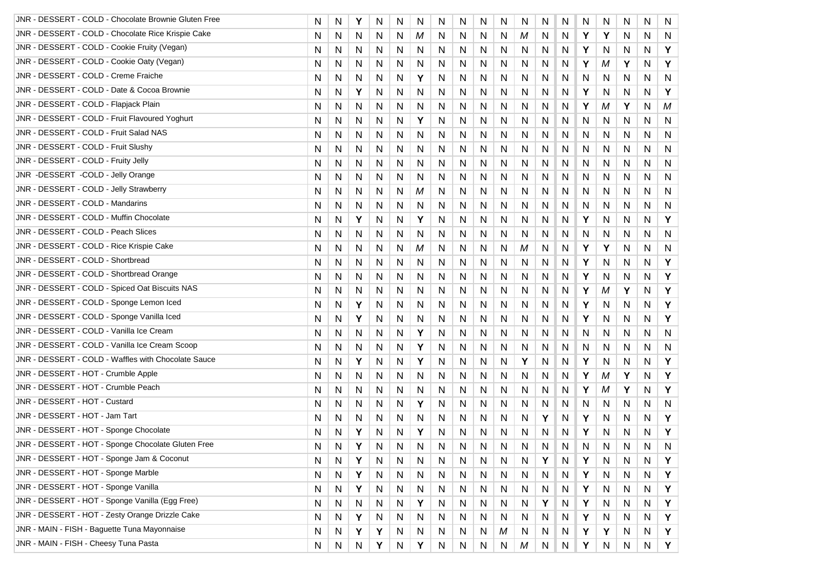| JNR - DESSERT - COLD - Chocolate Brownie Gluten Free | N | N | Y | N | N | N | N | N | N | N | N | N | N | N | N | N | N | N            |
|------------------------------------------------------|---|---|---|---|---|---|---|---|---|---|---|---|---|---|---|---|---|--------------|
| JNR - DESSERT - COLD - Chocolate Rice Krispie Cake   | N | N | N | N | N | М | N | N | N | N | M | N | N | Y | Y | N | N | N            |
| JNR - DESSERT - COLD - Cookie Fruity (Vegan)         | N | N | N | N | N | N | N | N | N | N | N | N | N | Y | N | N | N | Y            |
| JNR - DESSERT - COLD - Cookie Oaty (Vegan)           | N | N | N | N | N | N | N | N | N | N | N | N | N | Υ | М | Υ | N | Υ            |
| JNR - DESSERT - COLD - Creme Fraiche                 | N | N | N | N | N | Υ | N | N | N | N | N | N | N | N | N | N | N | N            |
| JNR - DESSERT - COLD - Date & Cocoa Brownie          | N | N | Y | N | N | N | N | N | N | N | N | N | N | Y | N | N | N | Y            |
| JNR - DESSERT - COLD - Flapjack Plain                | N | N | N | N | N | N | N | N | N | N | N | N | N | Y | М | Υ | N | M            |
| JNR - DESSERT - COLD - Fruit Flavoured Yoghurt       | N | N | N | N | N | Υ | N | N | N | N | N | N | N | N | N | N | N | N            |
| JNR - DESSERT - COLD - Fruit Salad NAS               | N | N | N | N | N | N | N | N | N | N | N | N | N | N | N | N | N | N            |
| JNR - DESSERT - COLD - Fruit Slushy                  | N | N | N | N | N | N | N | N | N | N | N | N | N | N | N | N | N | N            |
| JNR - DESSERT - COLD - Fruity Jelly                  | N | N | N | N | N | N | N | N | N | N | N | N | N | N | N | N | N | N            |
| JNR -DESSERT -COLD - Jelly Orange                    | N | N | N | N | N | N | N | N | N | N | N | N | N | N | N | N | N | N            |
| JNR - DESSERT - COLD - Jelly Strawberry              | N | N | N | N | N | М | N | N | N | N | N | N | N | N | N | N | N | N            |
| JNR - DESSERT - COLD - Mandarins                     | N | N | N | N | N | N | N | N | N | N | N | N | N | N | N | N | N | N            |
| JNR - DESSERT - COLD - Muffin Chocolate              | N | N | Υ | N | N | Υ | N | N | N | N | N | N | N | Y | N | N | N | Y            |
| JNR - DESSERT - COLD - Peach Slices                  | N | N | N | N | N | N | N | N | N | N | N | N | N | N | N | N | N | N            |
| JNR - DESSERT - COLD - Rice Krispie Cake             | N | N | N | N | N | М | N | N | N | N | M | N | N | Y | Y | N | N | N            |
| JNR - DESSERT - COLD - Shortbread                    | N | N | N | N | N | N | N | N | N | N | N | N | N | Υ | N | N | N | Υ            |
| JNR - DESSERT - COLD - Shortbread Orange             | N | N | N | N | N | N | N | N | N | N | N | N | N | Y | N | N | N | Υ            |
| JNR - DESSERT - COLD - Spiced Oat Biscuits NAS       | N | N | N | N | N | N | N | N | N | N | N | N | N | Υ | М | Υ | N | Y            |
| JNR - DESSERT - COLD - Sponge Lemon Iced             | N | N | Υ | N | N | N | N | N | N | N | N | N | N | Y | N | N | N | Υ            |
| JNR - DESSERT - COLD - Sponge Vanilla Iced           | N | N | Y | N | N | N | N | N | N | N | N | N | N | Y | N | N | N | Y            |
| JNR - DESSERT - COLD - Vanilla Ice Cream             | N | N | N | N | N | Υ | N | N | N | N | N | N | N | N | N | N | N | N            |
| JNR - DESSERT - COLD - Vanilla Ice Cream Scoop       | N | N | N | N | N | Υ | N | N | N | N | N | N | N | N | N | N | N | $\mathsf{N}$ |
| JNR - DESSERT - COLD - Waffles with Chocolate Sauce  | N | N | Y | N | N | Υ | N | N | N | N | Y | N | N | Y | N | N | N | Y            |
| JNR - DESSERT - HOT - Crumble Apple                  | N | N | N | N | N | N | N | N | N | N | N | N | N | Y | М | Υ | N | Υ            |
| JNR - DESSERT - HOT - Crumble Peach                  | N | N | N | N | N | N | Ν | N | N | N | N | N | N | Υ | М | Υ | N | Y            |
| JNR - DESSERT - HOT - Custard                        | N | N | N | N | N | Υ | N | N | N | N | N | N | N | N | N | N | N | N            |
| JNR - DESSERT - HOT - Jam Tart                       | N | N | N | N | N | N | N | N | N | N | N | Y | N | Υ | N | N | N | Y            |
| JNR - DESSERT - HOT - Sponge Chocolate               | N | N | Υ | N | N | Υ | N | N | N | N | N | N | N | Y | N | N | N | Y            |
| JNR - DESSERT - HOT - Sponge Chocolate Gluten Free   | N | N | Υ | N | N | N | N | N | N | N | N | N | N | N | N | N | N | N            |
| JNR - DESSERT - HOT - Sponge Jam & Coconut           | N | N | Υ | N | N | N | N | N | N | N | N | Υ | N | Y | N | N | N | Υ            |
| JNR - DESSERT - HOT - Sponge Marble                  | N | N | Y | N | N | N | N | N | N | N | N | N | N | Y | N | N | N | Y            |
| JNR - DESSERT - HOT - Sponge Vanilla                 | N | N | Υ | N | N | N | N | N | N | N | N | N | N | Υ | N | N | N | Y            |
| JNR - DESSERT - HOT - Sponge Vanilla (Egg Free)      | N | N | N | N | N | Y | N | N | N | N | N | Y | N | Y | N | N | N | Υ            |
| JNR - DESSERT - HOT - Zesty Orange Drizzle Cake      | N | N | Υ | N | N | N | N | N | N | N | N | N | N | Υ | N | N | N | Y            |
| JNR - MAIN - FISH - Baguette Tuna Mayonnaise         | N | N | Y | Y | N | N | N | N | N | М | N | N | N | Y | Υ | N | N | Y            |
| JNR - MAIN - FISH - Cheesy Tuna Pasta                | N | N | N | Υ | N | Υ | N | N | N | N | М | N | N | Y | N | N | N | Y            |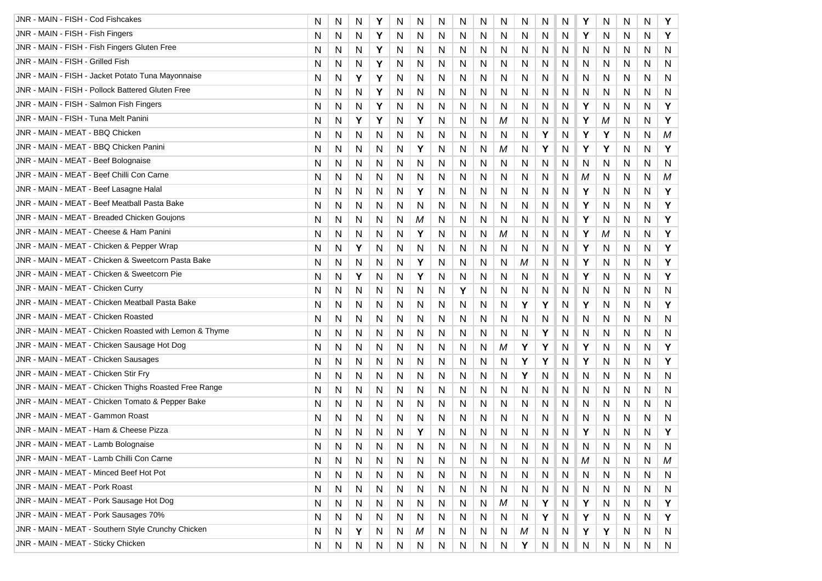| JNR - MAIN - FISH - Cod Fishcakes                      | N | N | N | Y         | N | N | N | N | N         | N         | N | N | N | Y | N | N         | N | Υ |
|--------------------------------------------------------|---|---|---|-----------|---|---|---|---|-----------|-----------|---|---|---|---|---|-----------|---|---|
| JNR - MAIN - FISH - Fish Fingers                       | N | N | N | Y         | N | N | N | N | N         | N         | N | N | N | Y | N | N         | N | Υ |
| JNR - MAIN - FISH - Fish Fingers Gluten Free           | N | N | N | Υ         | N | N | N | N | N         | N         | N | N | Ν | N | N | N         | N | N |
| JNR - MAIN - FISH - Grilled Fish                       | N | N | N | Υ         | N | N | N | N | N         | N         | N | N | N | N | N | N         | N | N |
| JNR - MAIN - FISH - Jacket Potato Tuna Mayonnaise      | N | N | Υ | Y         | N | N | N | N | N         | N         | N | N | Ν | N | N | N         | N | N |
| JNR - MAIN - FISH - Pollock Battered Gluten Free       | N | N | Ν | Y         | N | N | N | N | N         | N         | N | N | Ν | N | N | N         | N | N |
| JNR - MAIN - FISH - Salmon Fish Fingers                | N | N | N | Υ         | N | N | N | N | N         | N         | N | N | Ν | Y | N | N         | N | Υ |
| JNR - MAIN - FISH - Tuna Melt Panini                   | N | N | Υ | Υ         | N | Υ | N | N | N         | М         | Ν | N | N | Y | М | N         | N | Υ |
| JNR - MAIN - MEAT - BBQ Chicken                        | N | N | Ν | N         | N | N | N | N | N         | N         | N | Υ | N | Y | Y | N         | N | М |
| JNR - MAIN - MEAT - BBQ Chicken Panini                 | N | N | N | N         | N | Y | N | N | N         | М         | N | Υ | N | Υ | Υ | N         | N | Y |
| JNR - MAIN - MEAT - Beef Bolognaise                    | N | N | Ν | N         | N | N | N | N | N         | N         | N | N | N | N | N | N         | N | N |
| JNR - MAIN - MEAT - Beef Chilli Con Carne              | N | N | Ν | N         | N | N | N | N | N         | N         | N | N | Ν | M | N | N         | N | M |
| JNR - MAIN - MEAT - Beef Lasagne Halal                 | N | N | N | N         | N | Υ | N | N | N         | N         | N | N | Ν | Y | N | N         | N | Υ |
| JNR - MAIN - MEAT - Beef Meatball Pasta Bake           | N | N | N | N         | N | N | N | N | N         | N         | N | N | Ν | Y | N | N         | N | Υ |
| <b>JNR - MAIN - MEAT - Breaded Chicken Goujons</b>     | N | N | N | N         | N | M | N | N | N         | N         | N | N | Ν | Y | N | N         | N | Y |
| JNR - MAIN - MEAT - Cheese & Ham Panini                | N | N | Ν | N         | N | Υ | N | N | N         | М         | N | N | N | Y | М | N         | N | Υ |
| JNR - MAIN - MEAT - Chicken & Pepper Wrap              | N | N | Υ | N         | N | N | N | N | N         | N         | N | N | Ν | Y | N | N         | N | Υ |
| JNR - MAIN - MEAT - Chicken & Sweetcorn Pasta Bake     | N | N | N | N         | N | Υ | N | N | N         | N         | M | N | N | Y | N | N         | N | Υ |
| JNR - MAIN - MEAT - Chicken & Sweetcorn Pie            | N | N | Y | N         | N | Υ | N | N | N         | N         | N | N | Ν | Y | N | N         | N | Υ |
| JNR - MAIN - MEAT - Chicken Curry                      | N | N | N | N         | N | N | N | Y | N         | N         | N | N | N | N | N | N         | N | N |
| JNR - MAIN - MEAT - Chicken Meatball Pasta Bake        | N | N | Ν | N         | N | N | N | N | N         | N         | Υ | Υ | N | Y | N | N         | N | Υ |
| JNR - MAIN - MEAT - Chicken Roasted                    | N | N | N | N         | N | N | N | N | N         | N         | N | N | N | N | N | N         | N | N |
| JNR - MAIN - MEAT - Chicken Roasted with Lemon & Thyme | N | N | N | N         | N | N | N | N | N         | N         | N | Υ | N | N | N | N         | N | N |
| JNR - MAIN - MEAT - Chicken Sausage Hot Dog            | N | N | Ν | N         | N | N | N | N | N         | М         | Y | Υ | N | Y | N | N         | N | Υ |
| JNR - MAIN - MEAT - Chicken Sausages                   | N | N | Ν | N         | N | N | N | N | N         | N         | Υ | Υ | N | Y | N | N         | N | Y |
| JNR - MAIN - MEAT - Chicken Stir Fry                   | N | N | N | N         | N | N | N | N | N         | N         | Υ | N | N | N | N | N         | N | N |
| JNR - MAIN - MEAT - Chicken Thighs Roasted Free Range  | N | N | N | N         | N | N | N | N | N         | N         | N | N | Ν | N | N | N         | N | N |
| JNR - MAIN - MEAT - Chicken Tomato & Pepper Bake       | N | N | Ν | N         | N | N | N | N | N         | N         | N | N | N | N | N | N         | N | N |
| JNR - MAIN - MEAT - Gammon Roast                       | N | N | N | N         | N | N | N | N | N         | N         | N | N | N | N | N | N         | N | N |
| JNR - MAIN - MEAT - Ham & Cheese Pizza                 | N | N | N | N         | N | Y | N | N | N         | N         | N | N | N | Y | N | N         | N | Υ |
| JNR - MAIN - MEAT - Lamb Bolognaise                    | N | N | N | N         | N | N | N | N | N         | N         | N | N | Ν | N | N | N         | N | N |
| JNR - MAIN - MEAT - Lamb Chilli Con Carne              | N | N | N | N         | N | N | N | N | N         | N         | N | N | N | М | N | N         | N | М |
| JNR - MAIN - MEAT - Minced Beef Hot Pot                | N | N | N | N         | N | N | N | N | ${\sf N}$ | N         | N | N | N | N | N | N         | N | N |
| JNR - MAIN - MEAT - Pork Roast                         | N | N | N | N         | N | N | N | N | N         | N         | N | N | N | N | N | N         | N | N |
| JNR - MAIN - MEAT - Pork Sausage Hot Dog               | N | N | N | N         | N | N | N | N | N         | М         | N | Υ | N | Y | N | N         | N | Υ |
| JNR - MAIN - MEAT - Pork Sausages 70%                  | N | N | N | N         | N | N | N | N | N         | N         | N | Y | N | Y | N | N         | N | Y |
| JNR - MAIN - MEAT - Southern Style Crunchy Chicken     | N | N | Υ | N         | N | M | N | N | N         | N         | M | N | N | Y | Y | N         | N | N |
| JNR - MAIN - MEAT - Sticky Chicken                     | N | N | N | ${\sf N}$ | N | N | N | N | N         | ${\sf N}$ | Υ | N | N | N | N | ${\sf N}$ | N | N |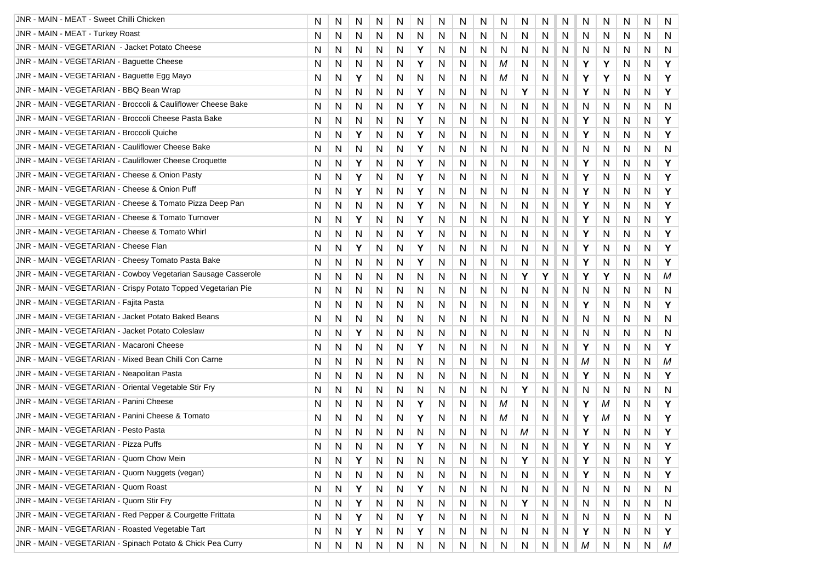| JNR - MAIN - MEAT - Sweet Chilli Chicken                      | N | N  | N         | N | N | N | N  | N | N | N | N | N | N | N | N | N | N | N |
|---------------------------------------------------------------|---|----|-----------|---|---|---|----|---|---|---|---|---|---|---|---|---|---|---|
| JNR - MAIN - MEAT - Turkey Roast                              | N | N  | N         | N | N | N | N  | N | N | N | N | N | N | N | N | N | N | N |
| JNR - MAIN - VEGETARIAN - Jacket Potato Cheese                | N | N  | N         | N | N | Y | N  | N | N | N | N | N | N | N | N | N | N | N |
| JNR - MAIN - VEGETARIAN - Baguette Cheese                     | N | N  | N         | N | N | Υ | N  | N | N | M | N | N | N | Y | Υ | N | N | Υ |
| JNR - MAIN - VEGETARIAN - Baquette Egg Mayo                   | N | N  | Υ         | N | N | N | N  | N | N | M | N | N | Ν | Y | Υ | N | N | Υ |
| JNR - MAIN - VEGETARIAN - BBQ Bean Wrap                       | N | N  | Ν         | N | N | Υ | N  | N | N | N | Υ | N | N | Y | N | N | N | Υ |
| JNR - MAIN - VEGETARIAN - Broccoli & Cauliflower Cheese Bake  | N | N  | N         | N | N | Υ | N  | N | N | N | N | N | N | N | N | N | N | N |
| JNR - MAIN - VEGETARIAN - Broccoli Cheese Pasta Bake          | N | N  | N         | N | N | Y | N  | N | N | N | Ν | N | N | Y | N | N | N | Υ |
| JNR - MAIN - VEGETARIAN - Broccoli Quiche                     | N | N  | Υ         | N | N | Υ | N  | N | N | N | N | N | N | Y | N | N | N | Υ |
| JNR - MAIN - VEGETARIAN - Cauliflower Cheese Bake             | N | N  | Ν         | N | N | Y | N  | N | N | N | N | N | N | N | N | N | N | N |
| <b>JNR - MAIN - VEGETARIAN - Cauliflower Cheese Croquette</b> | N | N  | Y         | N | N | Υ | N  | N | N | N | N | N | N | Υ | N | N | N | Υ |
| JNR - MAIN - VEGETARIAN - Cheese & Onion Pasty                | N | N  | Y         | N | N | Υ | N  | N | N | N | N | N | Ν | Υ | N | N | N | Υ |
| JNR - MAIN - VEGETARIAN - Cheese & Onion Puff                 | N | N  | Υ         | N | N | Υ | N  | N | N | N | N | N | N | Y | N | N | N | Υ |
| JNR - MAIN - VEGETARIAN - Cheese & Tomato Pizza Deep Pan      | N | N  | N         | N | N | Υ | N  | N | N | N | N | N | N | Y | N | N | N | Υ |
| JNR - MAIN - VEGETARIAN - Cheese & Tomato Turnover            | N | N  | Υ         | N | N | Υ | N  | N | N | N | N | N | Ν | Y | N | N | N | Y |
| JNR - MAIN - VEGETARIAN - Cheese & Tomato Whirl               | N | N  | Ν         | N | N | Υ | N  | N | N | N | N | N | N | Y | N | N | N | Υ |
| JNR - MAIN - VEGETARIAN - Cheese Flan                         | N | N  | Υ         | N | N | Y | N  | N | N | N | N | N | N | Y | N | N | N | Υ |
| JNR - MAIN - VEGETARIAN - Cheesy Tomato Pasta Bake            | N | N  | N         | N | N | Υ | N  | N | N | N | N | N | N | Y | N | N | N | Y |
| JNR - MAIN - VEGETARIAN - Cowboy Vegetarian Sausage Casserole | N | N  | Ν         | N | N | N | N  | N | N | N | Y | Υ | Ν | Y | Y | N | N | M |
| JNR - MAIN - VEGETARIAN - Crispy Potato Topped Vegetarian Pie | N | N  | N         | N | N | N | N  | N | N | N | N | N | N | N | N | N | N | N |
| JNR - MAIN - VEGETARIAN - Fajita Pasta                        | N | N  | N         | N | N | N | N  | N | N | N | N | N | Ν | Y | N | N | N | Υ |
| JNR - MAIN - VEGETARIAN - Jacket Potato Baked Beans           | N | N  | N         | N | N | N | N  | N | N | N | N | N | Ν | N | N | N | N | N |
| JNR - MAIN - VEGETARIAN - Jacket Potato Coleslaw              | N | N  | Υ         | N | N | N | N  | N | N | N | N | N | N | N | N | N | N | N |
| JNR - MAIN - VEGETARIAN - Macaroni Cheese                     | N | N  | Ν         | N | N | Υ | N  | N | N | N | N | N | N | Y | N | N | N | Y |
| JNR - MAIN - VEGETARIAN - Mixed Bean Chilli Con Carne         | N | N  | Ν         | N | N | N | N  | N | N | N | N | N | N | M | N | N | N | M |
| JNR - MAIN - VEGETARIAN - Neapolitan Pasta                    | N | N  | N         | N | N | N | N  | N | N | N | N | N | N | Y | N | N | N | Υ |
| JNR - MAIN - VEGETARIAN - Oriental Vegetable Stir Fry         | N | N  | N         | N | N | N | N  | N | N | N | Y | N | N | N | N | N | N | N |
| JNR - MAIN - VEGETARIAN - Panini Cheese                       | N | N  | N         | N | N | Υ | N  | N | N | Μ | N | N | N | Y | M | N | N | Υ |
| JNR - MAIN - VEGETARIAN - Panini Cheese & Tomato              | N | N  | Ν         | N | N | Υ | N  | N | N | Μ | N | N | N | Υ | M | N | N | Y |
| JNR - MAIN - VEGETARIAN - Pesto Pasta                         | N | N  | N         | N | N | N | N  | N | N | N | М | N | N | Y | N | N | N | Υ |
| JNR - MAIN - VEGETARIAN - Pizza Puffs                         | N | N  | N         | N | N | Υ | N  | N | N | N | N | N | Ν | Y | N | Ν | N | Y |
| JNR - MAIN - VEGETARIAN - Quorn Chow Mein                     | N | Ν  | Υ         | N | N | N | N  | N | N | N | Υ | N | N | Y | N | N | N | Y |
| JNR - MAIN - VEGETARIAN - Quorn Nuggets (vegan)               | N | N  | ${\sf N}$ | N | N | N | N  | N | N | N | N | N | N | Y | N | N | N | Y |
| JNR - MAIN - VEGETARIAN - Quorn Roast                         | N | N  | Υ         | N | N | Υ | N  | N | N | N | N | N | N | N | N | N | N | N |
| JNR - MAIN - VEGETARIAN - Quorn Stir Fry                      | N | N  | Y         | N | N | N | N. | N | N | N | Y | N | N | N | N | N | N | N |
| JNR - MAIN - VEGETARIAN - Red Pepper & Courgette Frittata     | N | N  | Υ         | N | N | Υ | N  | N | N | N | N | N | N | N | N | N | N | N |
| JNR - MAIN - VEGETARIAN - Roasted Vegetable Tart              | N | N. | Υ         | N | N | Υ | N  | N | N | N | N | N | N | Y | N | N | N | Y |
| JNR - MAIN - VEGETARIAN - Spinach Potato & Chick Pea Curry    | N | N  | N         | N | N | N | N  | N | N | N | N | N | N | M | N | N | N | М |